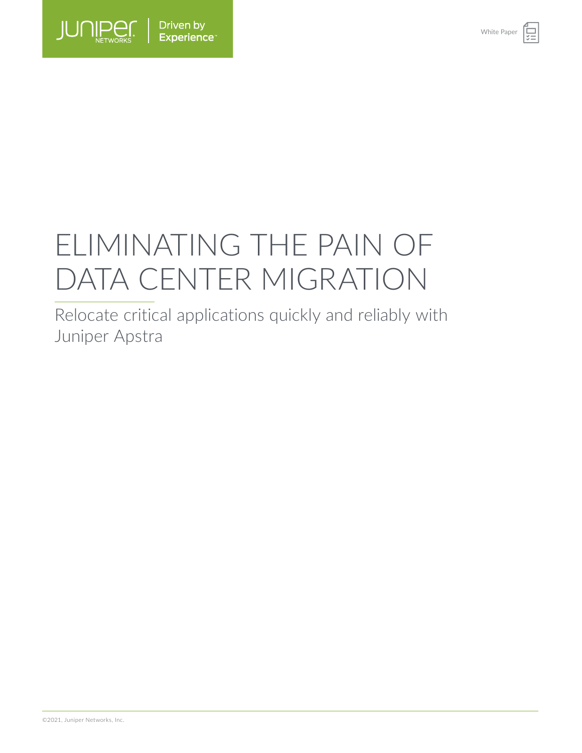

# ELIMINATING THE PAIN OF DATA CENTER MIGRATION

Relocate critical applications quickly and reliably with Juniper Apstra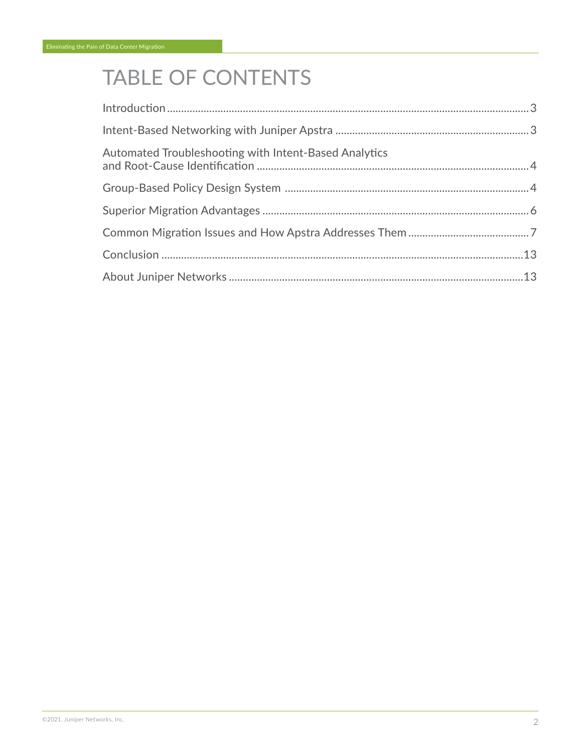# TABLE OF CONTENTS

| Automated Troubleshooting with Intent-Based Analytics |  |
|-------------------------------------------------------|--|
|                                                       |  |
|                                                       |  |
|                                                       |  |
|                                                       |  |
|                                                       |  |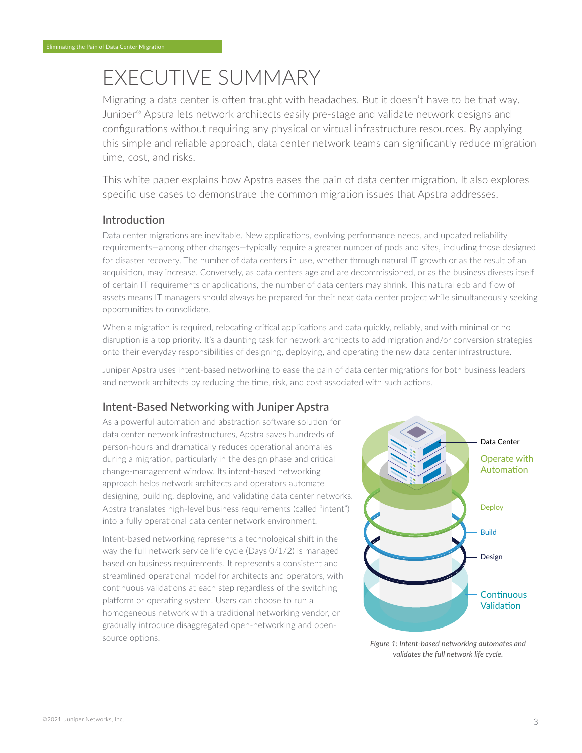# <span id="page-2-0"></span>EXECUTIVE SUMMARY

Migrating a data center is often fraught with headaches. But it doesn't have to be that way. Juniper® Apstra lets network architects easily pre-stage and validate network designs and configurations without requiring any physical or virtual infrastructure resources. By applying this simple and reliable approach, data center network teams can significantly reduce migration time, cost, and risks.

This white paper explains how Apstra eases the pain of data center migration. It also explores specific use cases to demonstrate the common migration issues that Apstra addresses.

# Introduction

Data center migrations are inevitable. New applications, evolving performance needs, and updated reliability requirements—among other changes—typically require a greater number of pods and sites, including those designed for disaster recovery. The number of data centers in use, whether through natural IT growth or as the result of an acquisition, may increase. Conversely, as data centers age and are decommissioned, or as the business divests itself of certain IT requirements or applications, the number of data centers may shrink. This natural ebb and flow of assets means IT managers should always be prepared for their next data center project while simultaneously seeking opportunities to consolidate.

When a migration is required, relocating critical applications and data quickly, reliably, and with minimal or no disruption is a top priority. It's a daunting task for network architects to add migration and/or conversion strategies onto their everyday responsibilities of designing, deploying, and operating the new data center infrastructure.

Juniper Apstra uses intent-based networking to ease the pain of data center migrations for both business leaders and network architects by reducing the time, risk, and cost associated with such actions.

# Intent-Based Networking with Juniper Apstra

As a powerful automation and abstraction software solution for data center network infrastructures, Apstra saves hundreds of person-hours and dramatically reduces operational anomalies during a migration, particularly in the design phase and critical change-management window. Its intent-based networking approach helps network architects and operators automate designing, building, deploying, and validating data center networks. Apstra translates high-level business requirements (called "intent") into a fully operational data center network environment.

Intent-based networking represents a technological shift in the way the full network service life cycle (Days 0/1/2) is managed based on business requirements. It represents a consistent and streamlined operational model for architects and operators, with continuous validations at each step regardless of the switching platform or operating system. Users can choose to run a homogeneous network with a traditional networking vendor, or gradually introduce disaggregated open-networking and opensource options.



*Figure 1: Intent-based networking automates and validates the full network life cycle.*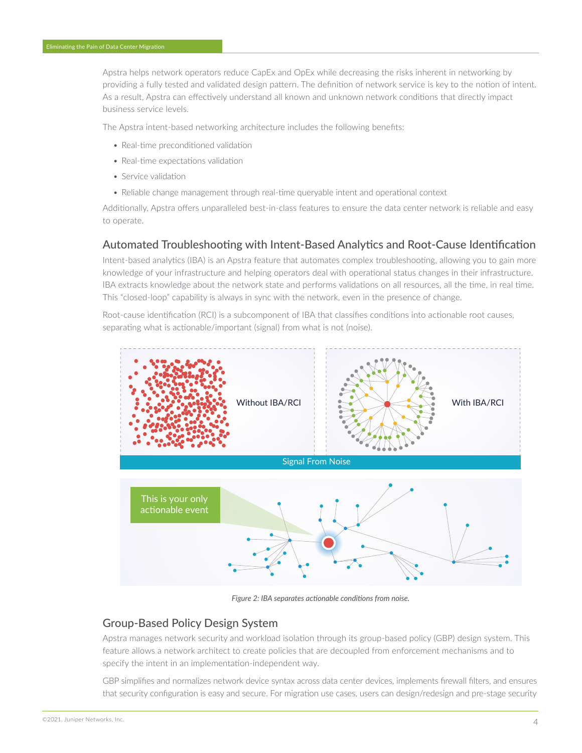<span id="page-3-0"></span>Apstra helps network operators reduce CapEx and OpEx while decreasing the risks inherent in networking by providing a fully tested and validated design pattern. The definition of network service is key to the notion of intent. As a result, Apstra can effectively understand all known and unknown network conditions that directly impact business service levels.

The Apstra intent-based networking architecture includes the following benefits:

- Real-time preconditioned validation
- Real-time expectations validation
- Service validation
- Reliable change management through real-time queryable intent and operational context

Additionally, Apstra offers unparalleled best-in-class features to ensure the data center network is reliable and easy to operate.

# Automated Troubleshooting with Intent-Based Analytics and Root-Cause Identification

Intent-based analytics (IBA) is an Apstra feature that automates complex troubleshooting, allowing you to gain more knowledge of your infrastructure and helping operators deal with operational status changes in their infrastructure. IBA extracts knowledge about the network state and performs validations on all resources, all the time, in real time. This "closed-loop" capability is always in sync with the network, even in the presence of change.

Root-cause identification (RCI) is a subcomponent of IBA that classifies conditions into actionable root causes, separating what is actionable/important (signal) from what is not (noise).



*Figure 2: IBA separates actionable conditions from noise.*

# Group-Based Policy Design System

Apstra manages network security and workload isolation through its group-based policy (GBP) design system. This feature allows a network architect to create policies that are decoupled from enforcement mechanisms and to specify the intent in an implementation-independent way.

GBP simplifies and normalizes network device syntax across data center devices, implements firewall filters, and ensures that security configuration is easy and secure. For migration use cases, users can design/redesign and pre-stage security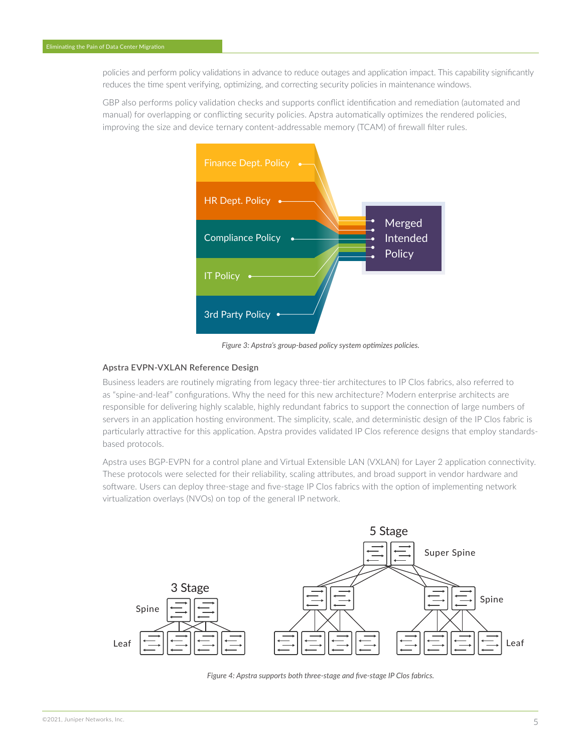policies and perform policy validations in advance to reduce outages and application impact. This capability significantly reduces the time spent verifying, optimizing, and correcting security policies in maintenance windows.

GBP also performs policy validation checks and supports conflict identification and remediation (automated and manual) for overlapping or conflicting security policies. Apstra automatically optimizes the rendered policies, improving the size and device ternary content-addressable memory (TCAM) of firewall filter rules.



*Figure 3: Apstra's group-based policy system optimizes policies.*

#### **Apstra EVPN-VXLAN Reference Design**

Business leaders are routinely migrating from legacy three-tier architectures to IP Clos fabrics, also referred to as "spine-and-leaf" configurations. Why the need for this new architecture? Modern enterprise architects are responsible for delivering highly scalable, highly redundant fabrics to support the connection of large numbers of servers in an application hosting environment. The simplicity, scale, and deterministic design of the IP Clos fabric is particularly attractive for this application. Apstra provides validated IP Clos reference designs that employ standardsbased protocols.

Apstra uses BGP-EVPN for a control plane and Virtual Extensible LAN (VXLAN) for Layer 2 application connectivity. These protocols were selected for their reliability, scaling attributes, and broad support in vendor hardware and software. Users can deploy three-stage and five-stage IP Clos fabrics with the option of implementing network virtualization overlays (NVOs) on top of the general IP network.



*Figure 4: Apstra supports both three-stage and five-stage IP Clos fabrics.*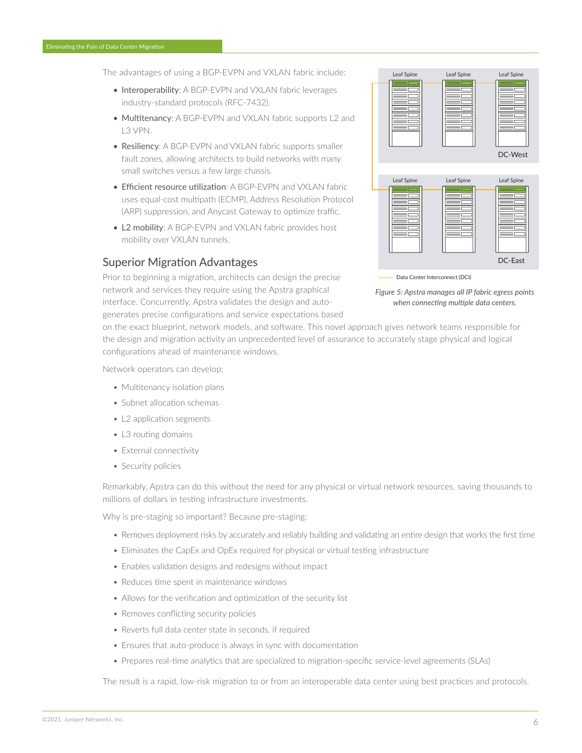<span id="page-5-0"></span>The advantages of using a BGP-EVPN and VXLAN fabric include:

- Interoperability: A BGP-EVPN and VXLAN fabric leverages industry-standard protocols (RFC-7432).
- Multitenancy: A BGP-EVPN and VXLAN fabric supports L2 and L3 VPN.
- Resiliency: A BGP-EVPN and VXLAN fabric supports smaller fault zones, allowing architects to build networks with many small switches versus a few large chassis.
- Efficient resource utilization: A BGP-EVPN and VXLAN fabric uses equal-cost multipath (ECMP), Address Resolution Protocol (ARP) suppression, and Anycast Gateway to optimize traffic.
- L2 mobility: A BGP-EVPN and VXLAN fabric provides host mobility over VXLAN tunnels.

### Superior Migration Advantages

Prior to beginning a migration, architects can design the precise network and services they require using the Apstra graphical interface. Concurrently, Apstra validates the design and autogenerates precise configurations and service expectations based



Data Center Interconnect (DCI)



on the exact blueprint, network models, and software. This novel approach gives network teams responsible for the design and migration activity an unprecedented level of assurance to accurately stage physical and logical configurations ahead of maintenance windows.

Network operators can develop:

- Multitenancy isolation plans
- Subnet allocation schemas
- L2 application segments
- L3 routing domains
- External connectivity
- Security policies

Remarkably, Apstra can do this without the need for any physical or virtual network resources, saving thousands to millions of dollars in testing infrastructure investments.

Why is pre-staging so important? Because pre-staging:

- Removes deployment risks by accurately and reliably building and validating an entire design that works the first time
- Eliminates the CapEx and OpEx required for physical or virtual testing infrastructure
- Enables validation designs and redesigns without impact
- Reduces time spent in maintenance windows
- Allows for the verification and optimization of the security list
- Removes conflicting security policies
- Reverts full data center state in seconds, if required
- Ensures that auto-produce is always in sync with documentation
- Prepares real-time analytics that are specialized to migration-specific service-level agreements (SLAs)

The result is a rapid, low-risk migration to or from an interoperable data center using best practices and protocols.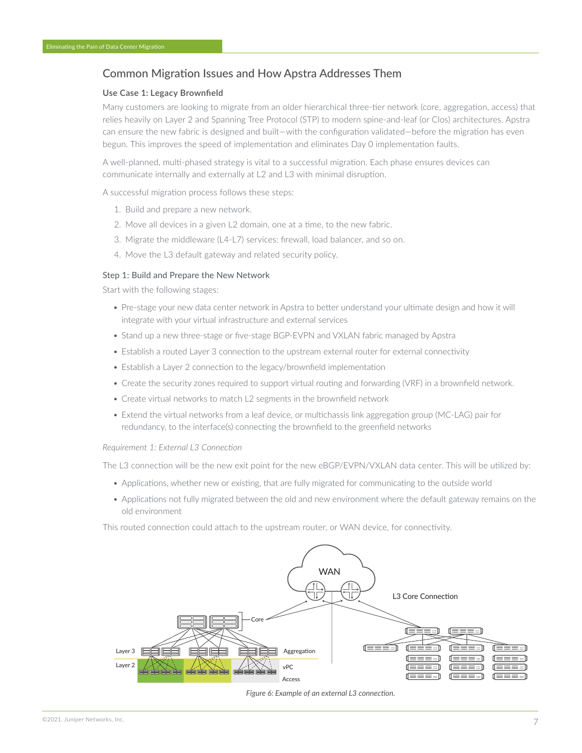# <span id="page-6-0"></span>Common Migration Issues and How Apstra Addresses Them

#### **Use Case 1: Legacy Brownfield**

Many customers are looking to migrate from an older hierarchical three-tier network (core, aggregation, access) that relies heavily on Layer 2 and Spanning Tree Protocol (STP) to modern spine-and-leaf (or Clos) architectures. Apstra can ensure the new fabric is designed and built—with the configuration validated—before the migration has even begun. This improves the speed of implementation and eliminates Day 0 implementation faults.

A well-planned, multi-phased strategy is vital to a successful migration. Each phase ensures devices can communicate internally and externally at L2 and L3 with minimal disruption.

A successful migration process follows these steps:

- 1. Build and prepare a new network.
- 2. Move all devices in a given L2 domain, one at a time, to the new fabric.
- 3. Migrate the middleware (L4-L7) services: firewall, load balancer, and so on.
- 4. Move the L3 default gateway and related security policy.

#### Step 1: Build and Prepare the New Network

Start with the following stages:

- Pre-stage your new data center network in Apstra to better understand your ultimate design and how it will integrate with your virtual infrastructure and external services
- Stand up a new three-stage or five-stage BGP-EVPN and VXLAN fabric managed by Apstra
- Establish a routed Layer 3 connection to the upstream external router for external connectivity
- Establish a Layer 2 connection to the legacy/brownfield implementation
- Create the security zones required to support virtual routing and forwarding (VRF) in a brownfield network.
- Create virtual networks to match L2 segments in the brownfield network
- Extend the virtual networks from a leaf device, or multichassis link aggregation group (MC-LAG) pair for redundancy, to the interface(s) connecting the brownfield to the greenfield networks

#### *Requirement 1: External L3 Connection*

The L3 connection will be the new exit point for the new eBGP/EVPN/VXLAN data center. This will be utilized by:

- Applications, whether new or existing, that are fully migrated for communicating to the outside world
- Applications not fully migrated between the old and new environment where the default gateway remains on the old environment

This routed connection could attach to the upstream router, or WAN device, for connectivity.



#### *Figure 6: Example of an external L3 connection.*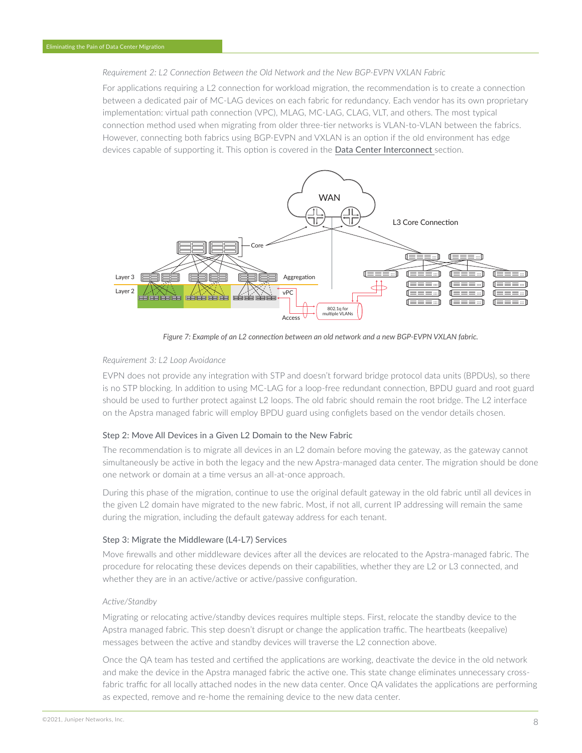#### *Requirement 2: L2 Connection Between the Old Network and the New BGP-EVPN VXLAN Fabric*

For applications requiring a L2 connection for workload migration, the recommendation is to create a connection between a dedicated pair of MC-LAG devices on each fabric for redundancy. Each vendor has its own proprietary implementation: virtual path connection (VPC), MLAG, MC-LAG, CLAG, VLT, and others. The most typical connection method used when migrating from older three-tier networks is VLAN-to-VLAN between the fabrics. However, connecting both fabrics using BGP-EVPN and VXLAN is an option if the old environment has edge devices capable of supporting it. This option is covered in the [Data Center Interconnect](#page-10-0) section.



*Figure 7: Example of an L2 connection between an old network and a new BGP-EVPN VXLAN fabric.*

#### *Requirement 3: L2 Loop Avoidance*

EVPN does not provide any integration with STP and doesn't forward bridge protocol data units (BPDUs), so there is no STP blocking. In addition to using MC-LAG for a loop-free redundant connection, BPDU guard and root guard should be used to further protect against L2 loops. The old fabric should remain the root bridge. The L2 interface on the Apstra managed fabric will employ BPDU guard using configlets based on the vendor details chosen.

#### Step 2: Move All Devices in a Given L2 Domain to the New Fabric

The recommendation is to migrate all devices in an L2 domain before moving the gateway, as the gateway cannot simultaneously be active in both the legacy and the new Apstra-managed data center. The migration should be done one network or domain at a time versus an all-at-once approach.

During this phase of the migration, continue to use the original default gateway in the old fabric until all devices in the given L2 domain have migrated to the new fabric. Most, if not all, current IP addressing will remain the same during the migration, including the default gateway address for each tenant.

#### Step 3: Migrate the Middleware (L4-L7) Services

Move firewalls and other middleware devices after all the devices are relocated to the Apstra-managed fabric. The procedure for relocating these devices depends on their capabilities, whether they are L2 or L3 connected, and whether they are in an active/active or active/passive configuration.

#### *Active/Standby*

Migrating or relocating active/standby devices requires multiple steps. First, relocate the standby device to the Apstra managed fabric. This step doesn't disrupt or change the application traffic. The heartbeats (keepalive) messages between the active and standby devices will traverse the L2 connection above.

Once the QA team has tested and certified the applications are working, deactivate the device in the old network and make the device in the Apstra managed fabric the active one. This state change eliminates unnecessary crossfabric traffic for all locally attached nodes in the new data center. Once QA validates the applications are performing as expected, remove and re-home the remaining device to the new data center.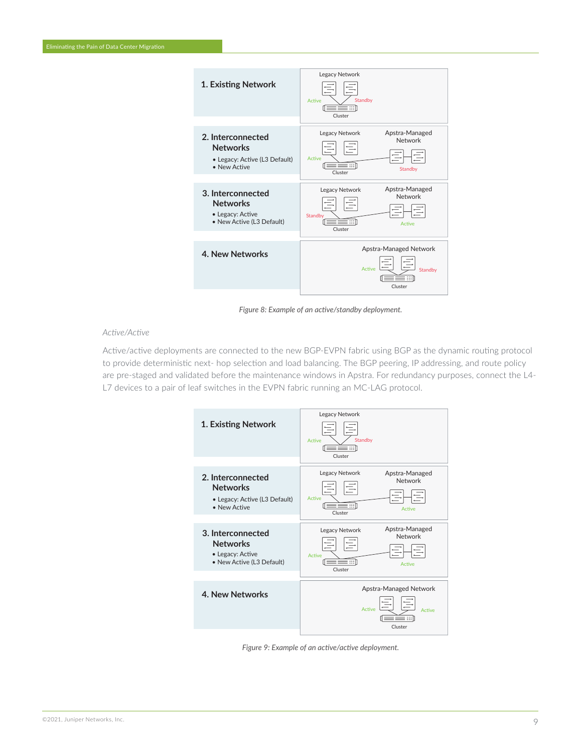

*Figure 8: Example of an active/standby deployment.*

#### *Active/Active*

Active/active deployments are connected to the new BGP-EVPN fabric using BGP as the dynamic routing protocol to provide deterministic next- hop selection and load balancing. The BGP peering, IP addressing, and route policy are pre-staged and validated before the maintenance windows in Apstra. For redundancy purposes, connect the L4- L7 devices to a pair of leaf switches in the EVPN fabric running an MC-LAG protocol.



*Figure 9: Example of an active/active deployment.*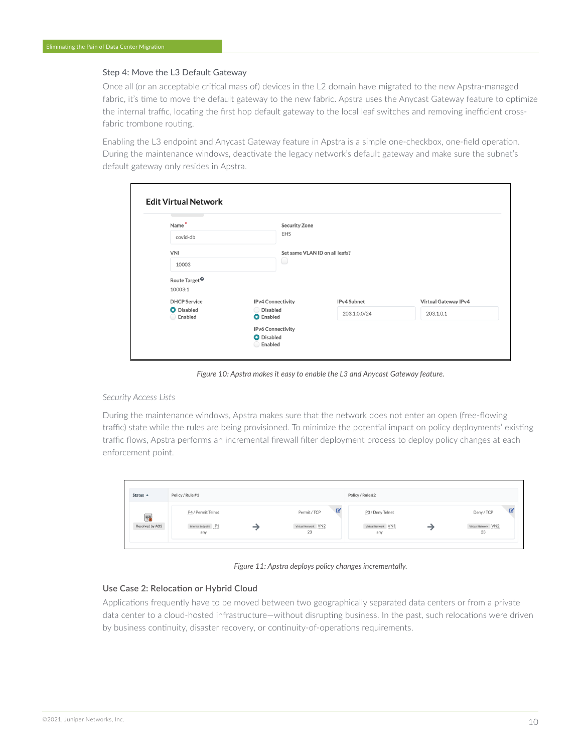#### Step 4: Move the L3 Default Gateway

Once all (or an acceptable critical mass of) devices in the L2 domain have migrated to the new Apstra-managed fabric, it's time to move the default gateway to the new fabric. Apstra uses the Anycast Gateway feature to optimize the internal traffic, locating the first hop default gateway to the local leaf switches and removing inefficient crossfabric trombone routing.

Enabling the L3 endpoint and Anycast Gateway feature in Apstra is a simple one-checkbox, one-field operation. During the maintenance windows, deactivate the legacy network's default gateway and make sure the subnet's default gateway only resides in Apstra.

| Name*                                | <b>Security Zone</b>         |                                |                      |  |  |  |
|--------------------------------------|------------------------------|--------------------------------|----------------------|--|--|--|
| covid-db                             | EHS                          |                                |                      |  |  |  |
| <b>VNI</b>                           |                              | Set same VLAN ID on all leafs? |                      |  |  |  |
| 10003                                |                              | $\qquad \qquad \Box$           |                      |  |  |  |
| Route Target <sup><sup>®</sup></sup> |                              |                                |                      |  |  |  |
| 10003:1                              |                              |                                |                      |  |  |  |
| <b>DHCP</b> Service                  | IPv4 Connectivity            | IPv4 Subnet                    | Virtual Gateway IPv4 |  |  |  |
| O Disabled<br>Enabled                | Disabled<br><b>O</b> Enabled | 203.1.0.0/24                   | 203.1.0.1            |  |  |  |
|                                      |                              |                                |                      |  |  |  |
|                                      | IPv6 Connectivity            |                                |                      |  |  |  |

*Figure 10: Apstra makes it easy to enable the L3 and Anycast Gateway feature.* 

#### *Security Access Lists*

During the maintenance windows, Apstra makes sure that the network does not enter an open (free-flowing traffic) state while the rules are being provisioned. To minimize the potential impact on policy deployments' existing traffic flows, Apstra performs an incremental firewall filter deployment process to deploy policy changes at each enforcement point.

| Status $\triangle$ | Policy / Rule #1             |  |                           |   | Policy / Rule #2           |                           |
|--------------------|------------------------------|--|---------------------------|---|----------------------------|---------------------------|
| 螶                  | P4 / Permit Telnet           |  | Permit / TCP              | B | P3 / Deny Telnet           | $\mathbb{Z}$<br>Deny/TCP  |
| Resolved by AOS    | Internal Endpoint IP1<br>any |  | Virtual Network VN2<br>23 |   | Virtual Network VN1<br>any | Virtual Network VN2<br>23 |

*Figure 11: Apstra deploys policy changes incrementally.*

#### **Use Case 2: Relocation or Hybrid Cloud**

Applications frequently have to be moved between two geographically separated data centers or from a private data center to a cloud-hosted infrastructure—without disrupting business. In the past, such relocations were driven by business continuity, disaster recovery, or continuity-of-operations requirements.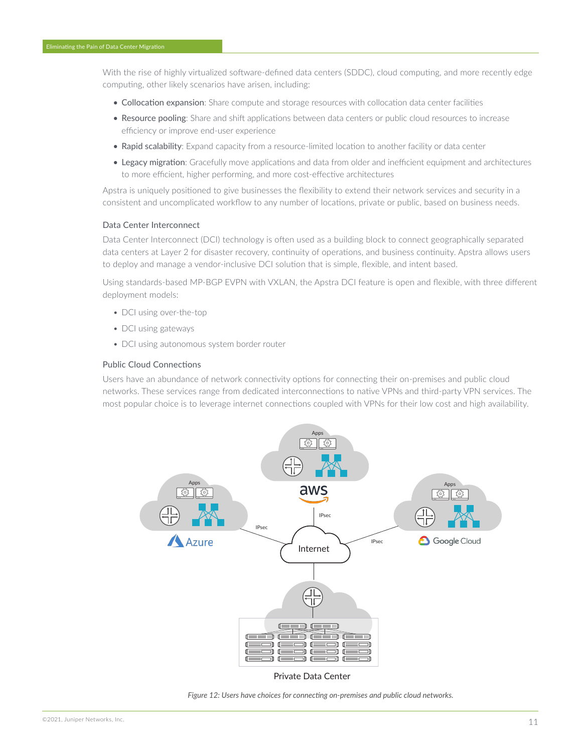With the rise of highly virtualized software-defined data centers (SDDC), cloud computing, and more recently edge computing, other likely scenarios have arisen, including:

- Collocation expansion: Share compute and storage resources with collocation data center facilities
- Resource pooling: Share and shift applications between data centers or public cloud resources to increase efficiency or improve end-user experience
- Rapid scalability: Expand capacity from a resource-limited location to another facility or data center
- Legacy migration: Gracefully move applications and data from older and inefficient equipment and architectures to more efficient, higher performing, and more cost-effective architectures

Apstra is uniquely positioned to give businesses the flexibility to extend their network services and security in a consistent and uncomplicated workflow to any number of locations, private or public, based on business needs.

#### <span id="page-10-0"></span>Data Center Interconnect

Data Center Interconnect (DCI) technology is often used as a building block to connect geographically separated data centers at Layer 2 for disaster recovery, continuity of operations, and business continuity. Apstra allows users to deploy and manage a vendor-inclusive DCI solution that is simple, flexible, and intent based.

Using standards-based MP-BGP EVPN with VXLAN, the Apstra DCI feature is open and flexible, with three different deployment models:

- DCI using over-the-top
- DCI using gateways
- DCI using autonomous system border router

#### Public Cloud Connections

Users have an abundance of network connectivity options for connecting their on-premises and public cloud networks. These services range from dedicated interconnections to native VPNs and third-party VPN services. The most popular choice is to leverage internet connections coupled with VPNs for their low cost and high availability.



Private Data Center

*Figure 12: Users have choices for connecting on-premises and public cloud networks.*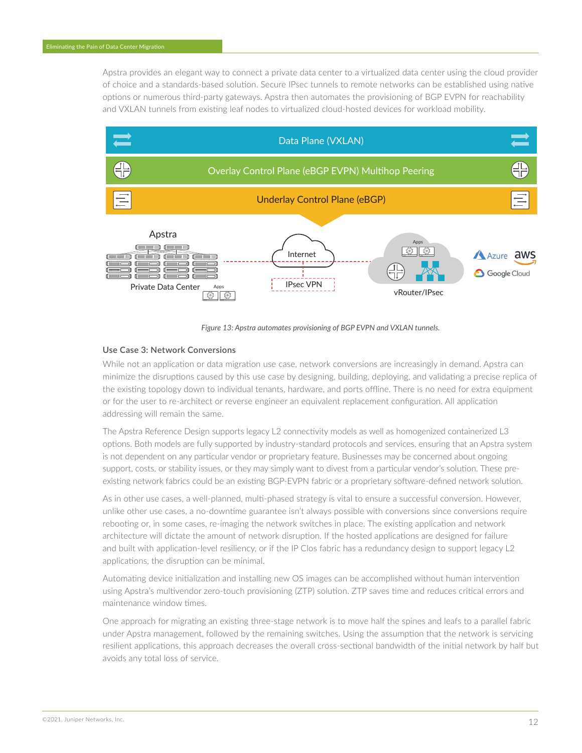Apstra provides an elegant way to connect a private data center to a virtualized data center using the cloud provider of choice and a standards-based solution. Secure IPsec tunnels to remote networks can be established using native options or numerous third-party gateways. Apstra then automates the provisioning of BGP EVPN for reachability and VXLAN tunnels from existing leaf nodes to virtualized cloud-hosted devices for workload mobility.



*Figure 13: Apstra automates provisioning of BGP EVPN and VXLAN tunnels.*

### **Use Case 3: Network Conversions**

While not an application or data migration use case, network conversions are increasingly in demand. Apstra can minimize the disruptions caused by this use case by designing, building, deploying, and validating a precise replica of the existing topology down to individual tenants, hardware, and ports offline. There is no need for extra equipment or for the user to re-architect or reverse engineer an equivalent replacement configuration. All application addressing will remain the same.

The Apstra Reference Design supports legacy L2 connectivity models as well as homogenized containerized L3 options. Both models are fully supported by industry-standard protocols and services, ensuring that an Apstra system is not dependent on any particular vendor or proprietary feature. Businesses may be concerned about ongoing support, costs, or stability issues, or they may simply want to divest from a particular vendor's solution. These preexisting network fabrics could be an existing BGP-EVPN fabric or a proprietary software-defined network solution.

As in other use cases, a well-planned, multi-phased strategy is vital to ensure a successful conversion. However, unlike other use cases, a no-downtime guarantee isn't always possible with conversions since conversions require rebooting or, in some cases, re-imaging the network switches in place. The existing application and network architecture will dictate the amount of network disruption. If the hosted applications are designed for failure and built with application-level resiliency, or if the IP Clos fabric has a redundancy design to support legacy L2 applications, the disruption can be minimal.

Automating device initialization and installing new OS images can be accomplished without human intervention using Apstra's multivendor zero-touch provisioning (ZTP) solution. ZTP saves time and reduces critical errors and maintenance window times.

One approach for migrating an existing three-stage network is to move half the spines and leafs to a parallel fabric under Apstra management, followed by the remaining switches. Using the assumption that the network is servicing resilient applications, this approach decreases the overall cross-sectional bandwidth of the initial network by half but avoids any total loss of service.